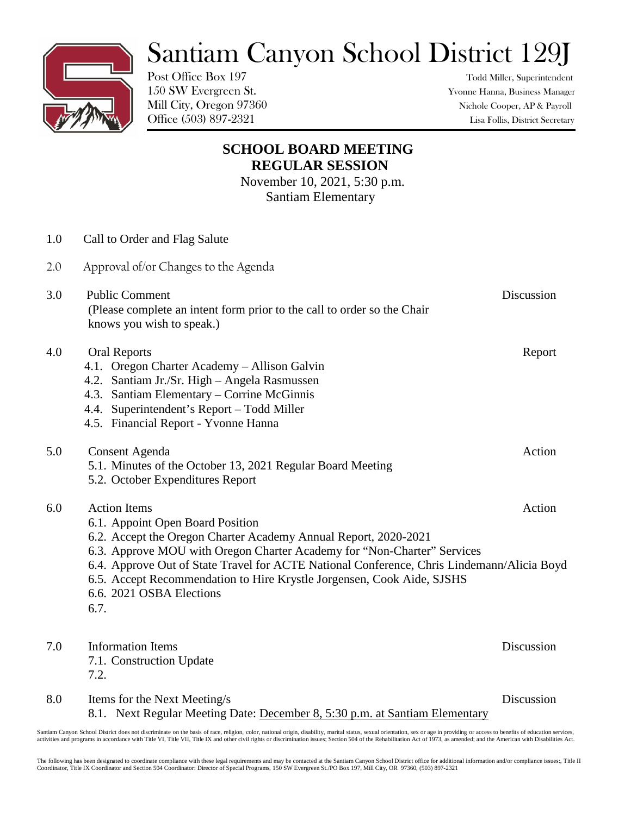## Santiam Canyon School District 129J

Post Office Box 197 Todd Miller, Superintendent

150 SW Evergreen St. Yvonne Hanna, Business Manager Mill City, Oregon 97360 Nichole Cooper, AP & Payroll Office (503) 897-2321 Lisa Follis, District Secretary

## **SCHOOL BOARD MEETING REGULAR SESSION**

November 10, 2021, 5:30 p.m. Santiam Elementary

| 1.0 | Call to Order and Flag Salute                                                                                                                                                                                                                                                                                                                                                                                     |            |
|-----|-------------------------------------------------------------------------------------------------------------------------------------------------------------------------------------------------------------------------------------------------------------------------------------------------------------------------------------------------------------------------------------------------------------------|------------|
| 2.0 | Approval of/or Changes to the Agenda                                                                                                                                                                                                                                                                                                                                                                              |            |
| 3.0 | <b>Public Comment</b><br>(Please complete an intent form prior to the call to order so the Chair<br>knows you wish to speak.)                                                                                                                                                                                                                                                                                     | Discussion |
| 4.0 | <b>Oral Reports</b><br>4.1. Oregon Charter Academy - Allison Galvin<br>4.2. Santiam Jr./Sr. High - Angela Rasmussen<br>4.3. Santiam Elementary – Corrine McGinnis<br>4.4. Superintendent's Report - Todd Miller<br>4.5. Financial Report - Yvonne Hanna                                                                                                                                                           | Report     |
| 5.0 | <b>Consent Agenda</b><br>5.1. Minutes of the October 13, 2021 Regular Board Meeting<br>5.2. October Expenditures Report                                                                                                                                                                                                                                                                                           | Action     |
| 6.0 | <b>Action Items</b><br>6.1. Appoint Open Board Position<br>6.2. Accept the Oregon Charter Academy Annual Report, 2020-2021<br>6.3. Approve MOU with Oregon Charter Academy for "Non-Charter" Services<br>6.4. Approve Out of State Travel for ACTE National Conference, Chris Lindemann/Alicia Boyd<br>6.5. Accept Recommendation to Hire Krystle Jorgensen, Cook Aide, SJSHS<br>6.6. 2021 OSBA Elections<br>6.7. | Action     |
| 7.0 | <b>Information Items</b><br>7.1. Construction Update<br>7.2.                                                                                                                                                                                                                                                                                                                                                      | Discussion |
| 8.0 | Items for the Next Meeting/s                                                                                                                                                                                                                                                                                                                                                                                      | Discussion |

8.1. Next Regular Meeting Date: December 8, 5:30 p.m. at Santiam Elementary

Santiam Canyon School District does not discriminate on the basis of race, religion, color, national origin, disability, marital status, sexual orientation, sex or age in providing or access to benefits of education servic

The following has been designated to coordinate compliance with these legal requirements and may be contacted at the Santiam Canyon School District office for additional information and/or compliance issues:, Title II Coordinator, Title IX Coordinator and Section 504 Coordinator: Director of Special Programs, 150 SW Evergreen St./PO Box 197, Mill City, OR 97360, (503) 897-2321